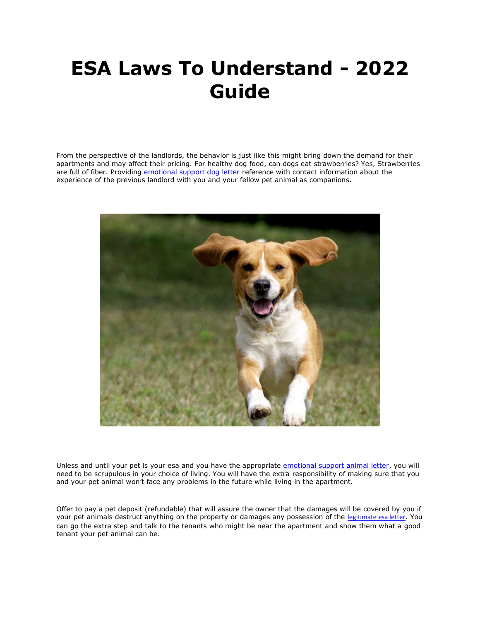## **ESA Laws To Understand - 2022 Guide**

From the perspective of the landlords, the behavior is just like this might bring down the demand for their apartments and may affect their pricing. For healthy dog food, can dogs eat strawberries? Yes, Strawberries are full of fiber. Providing [emotional support dog letter](https://www.realesaletter.com/sample-esa-letter) reference with contact information about the experience of the previous landlord with you and your fellow pet animal as companions.



Unless and until your pet is your esa and you have the appropriate [emotional support animal letter,](https://www.realesaletter.com/sample-esa-letter) you will need to be scrupulous in your choice of living. You will have the extra responsibility of making sure that you and your pet animal won't face any problems in the future while living in the apartment.

Offer to pay a pet deposit (refundable) that will assure the owner that the damages will be covered by you if your pet animals destruct anything on the property or damages any possession of the [legitimate esa letter](https://www.realesaletter.com/sample-esa-letter). You can go the extra step and talk to the tenants who might be near the apartment and show them what a good tenant your pet animal can be.